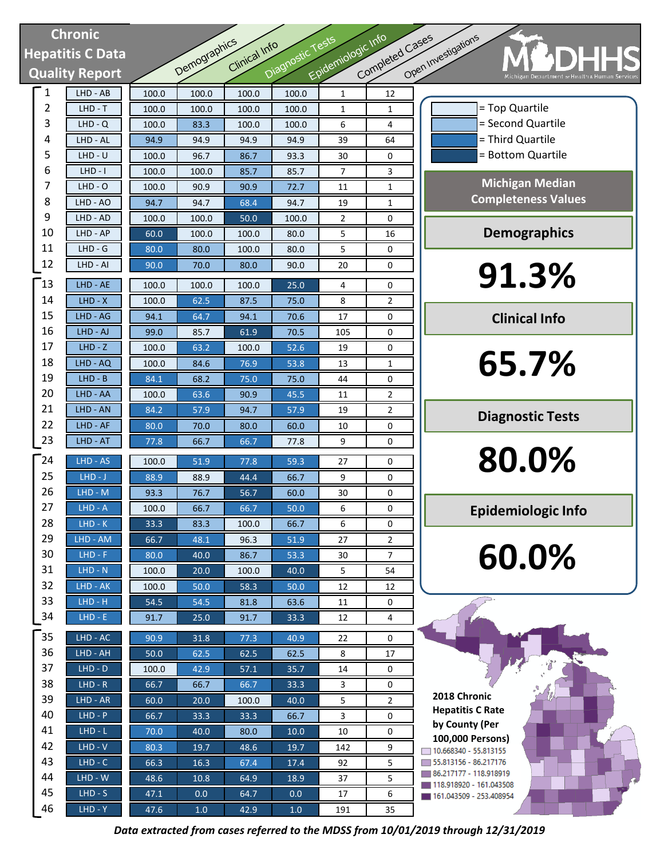| <b>Chronic</b> |                         |               |              |               |                   |                    |                     |                                                                      |
|----------------|-------------------------|---------------|--------------|---------------|-------------------|--------------------|---------------------|----------------------------------------------------------------------|
|                | <b>Hepatitis C Data</b> |               |              | Clinical Info |                   |                    |                     |                                                                      |
|                | <b>Quality Report</b>   |               | Demographics |               | Diagnostic Tests  | Epidemiologic Info | Completed Cases     | Open Investigations<br>Michigan Department or Health & Human Service |
| 1              | $LHD - AB$              | 100.0         | 100.0        | 100.0         | 100.0             | $\mathbf{1}$       | 12                  |                                                                      |
| 2              | $LHD - T$               | 100.0         | 100.0        | 100.0         | 100.0             | 1                  | 1                   | = Top Quartile                                                       |
| 3              | $LHD - Q$               | 100.0         | 83.3         | 100.0         | 100.0             | 6                  | 4                   | = Second Quartile                                                    |
| 4              | LHD - AL                | 94.9          | 94.9         | 94.9          | 94.9              | 39                 | 64                  | = Third Quartile                                                     |
| 5              | $LHD - U$               | 100.0         | 96.7         | 86.7          | 93.3              | 30                 | 0                   | = Bottom Quartile                                                    |
| 6              | $LHD - I$               | 100.0         | 100.0        | 85.7          | 85.7              | $\overline{7}$     | 3                   |                                                                      |
| 7              | $LHD - O$               | 100.0         | 90.9         | 90.9          | 72.7              | 11                 | $\mathbf{1}$        | <b>Michigan Median</b><br><b>Completeness Values</b>                 |
| 8              | LHD - AO                | 94.7          | 94.7         | 68.4          | 94.7              | 19                 | $\mathbf{1}$        |                                                                      |
| 9              | LHD - AD                | 100.0         | 100.0        | 50.0          | 100.0             | 2                  | 0                   |                                                                      |
| 10<br>11       | LHD - AP<br>$LHD - G$   | 60.0          | 100.0        | 100.0         | 80.0              | 5                  | 16                  | <b>Demographics</b>                                                  |
| 12             | LHD - AI                | 80.0          | 80.0         | 100.0         | 80.0              | 5                  | 0                   |                                                                      |
|                |                         | 90.0          | 70.0         | 80.0          | 90.0              | 20                 | 0                   | 91.3%                                                                |
| $\mathbf{13}$  | LHD - AE                | 100.0         | 100.0        | 100.0         | 25.0              | 4                  | 0                   |                                                                      |
| 14             | $LHD - X$               | 100.0         | 62.5         | 87.5          | 75.0              | 8                  | $\overline{2}$      |                                                                      |
| 15             | LHD - AG                | 94.1          | 64.7         | 94.1          | 70.6              | 17                 | 0                   | <b>Clinical Info</b>                                                 |
| 16             | LHD - AJ                | 99.0          | 85.7         | 61.9          | 70.5              | 105                | 0                   |                                                                      |
| 17             | $LHD - Z$               | 100.0         | 63.2         | 100.0         | 52.6              | 19                 | 0                   |                                                                      |
| 18<br>19       | LHD - AQ<br>$LHD - B$   | 100.0         | 84.6         | 76.9          | 53.8              | 13                 | $\mathbf{1}$        | 65.7%                                                                |
| 20             | LHD - AA                | 84.1          | 68.2<br>63.6 | 75.0          | 75.0<br>45.5      | 44                 | 0                   |                                                                      |
| 21             | LHD - AN                | 100.0<br>84.2 | 57.9         | 90.9<br>94.7  | 57.9              | 11<br>19           | 2<br>$\overline{2}$ |                                                                      |
| 22             | LHD - AF                | 80.0          | 70.0         | 80.0          | 60.0              | 10                 | 0                   | <b>Diagnostic Tests</b>                                              |
| 23             | LHD - AT                | 77.8          | 66.7         | 66.7          | 77.8              | 9                  | 0                   |                                                                      |
|                |                         |               |              |               |                   |                    |                     | 80.0%                                                                |
| 24<br>25       | LHD - AS                | 100.0         | 51.9         | 77.8          | 59.3              | 27                 | 0                   |                                                                      |
| 26             | $LHD-J$<br>$LHD - M$    | 88.9          | 88.9         | 44.4          | 66.7              | 9                  | 0                   |                                                                      |
| 27             | $LHD - A$               | 93.3<br>100.0 | 76.7<br>66.7 | 56.7<br>66.7  | 60.0<br>50.0      | 30<br>6            | 0<br>0              |                                                                      |
| 28             | $LHD-K$                 | 33.3          | 83.3         | 100.0         | 66.7              | 6                  | 0                   | <b>Epidemiologic Info</b>                                            |
| 29             | LHD - AM                | 66.7          | 48.1         | 96.3          | 51.9              | 27                 | $\overline{2}$      |                                                                      |
| 30             | $LHD - F$               | 80.0          | 40.0         | 86.7          | 53.3              | 30                 | $\overline{7}$      | 60.0%                                                                |
| 31             | $LHD - N$               | 100.0         | 20.0         | 100.0         | 40.0              | 5                  | 54                  |                                                                      |
| 32             | LHD - AK                | 100.0         | 50.0         | 58.3          | 50.0              | 12                 | 12                  |                                                                      |
| 33             | $LHD - H$               | 54.5          | 54.5         | 81.8          | 63.6              | 11                 | 0                   |                                                                      |
| 34             | $LHD - E$               | 91.7          | 25.0         | 91.7          | 33.3              | 12                 | 4                   |                                                                      |
| 35             | $LHD - AC$              | 90.9          | 31.8         | 77.3          | 40.9              | 22                 | 0                   |                                                                      |
| 36             | LHD - AH                | 50.0          | 62.5         | 62.5          | 62.5              | 8                  | 17                  |                                                                      |
| 37             | $LHD - D$               | 100.0         | 42.9         | 57.1          | 35.7              | 14                 | 0                   |                                                                      |
| 38             | $LHD - R$               | 66.7          | 66.7         | 66.7          | 33.3              | 3                  | 0                   |                                                                      |
| 39             | $LHD - AR$              | 60.0          | 20.0         | 100.0         | $\overline{40.0}$ | 5                  | $\overline{2}$      | 2018 Chronic                                                         |
| 40             | $LHD - P$               | 66.7          | 33.3         | 33.3          | 66.7              | 3                  | 0                   | <b>Hepatitis C Rate</b>                                              |
| 41             | $LHD-L$                 | 70.0          | 40.0         | 80.0          | 10.0              | 10                 | 0                   | by County (Per                                                       |
| 42             | $LHD - V$               | 80.3          | 19.7         | 48.6          | 19.7              | 142                | 9                   | 100,000 Persons)<br>10.668340 - 55.813155                            |
| 43             | $LHD - C$               | 66.3          | 16.3         | 67.4          | 17.4              | 92                 | 5                   | 55.813156 - 86.217176                                                |
| 44             | $LHD - W$               | 48.6          | 10.8         | 64.9          | 18.9              | 37                 | 5                   | 86.217177 - 118.918919<br>118.918920 - 161.043508                    |
| 45             | $LHD-S$                 | 47.1          | 0.0          | 64.7          | 0.0               | 17                 | 6                   | 161.043509 - 253.408954                                              |

*Data extracted from cases referred to the MDSS from 10/01/2019 through 12/31/2019*

46 LHD - Y 47.6 1.0 42.9 1.0 191 35